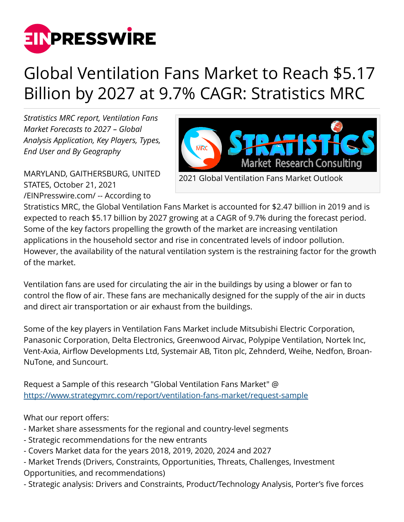

## Global Ventilation Fans Market to Reach \$5.17 Billion by 2027 at 9.7% CAGR: Stratistics MRC

*Stratistics MRC report, Ventilation Fans Market Forecasts to 2027 – Global Analysis Application, Key Players, Types, End User and By Geography*

MARYLAND, GAITHERSBURG, UNITED STATES, October 21, 2021 [/EINPresswire.com/](http://www.einpresswire.com) -- According to



Stratistics MRC, the Global Ventilation Fans Market is accounted for \$2.47 billion in 2019 and is expected to reach \$5.17 billion by 2027 growing at a CAGR of 9.7% during the forecast period. Some of the key factors propelling the growth of the market are increasing ventilation applications in the household sector and rise in concentrated levels of indoor pollution. However, the availability of the natural ventilation system is the restraining factor for the growth of the market.

Ventilation fans are used for circulating the air in the buildings by using a blower or fan to control the flow of air. These fans are mechanically designed for the supply of the air in ducts and direct air transportation or air exhaust from the buildings.

Some of the key players in Ventilation Fans Market include Mitsubishi Electric Corporation, Panasonic Corporation, Delta Electronics, Greenwood Airvac, Polypipe Ventilation, Nortek Inc, Vent-Axia, Airflow Developments Ltd, Systemair AB, Titon plc, Zehnderd, Weihe, Nedfon, Broan-NuTone, and Suncourt.

Request a Sample of this research "Global Ventilation Fans Market" @ <https://www.strategymrc.com/report/ventilation-fans-market/request-sample>

What our report offers:

- Market share assessments for the regional and country-level segments
- Strategic recommendations for the new entrants
- Covers Market data for the years 2018, 2019, 2020, 2024 and 2027
- Market Trends (Drivers, Constraints, Opportunities, Threats, Challenges, Investment Opportunities, and recommendations)
- Strategic analysis: Drivers and Constraints, Product/Technology Analysis, Porter's five forces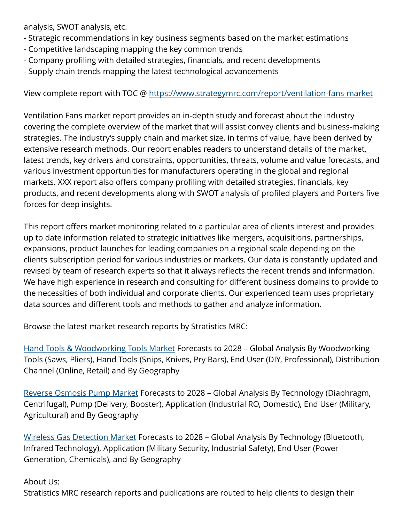analysis, SWOT analysis, etc.

- Strategic recommendations in key business segments based on the market estimations
- Competitive landscaping mapping the key common trends
- Company profiling with detailed strategies, financials, and recent developments
- Supply chain trends mapping the latest technological advancements

View complete report with TOC @ <https://www.strategymrc.com/report/ventilation-fans-market>

Ventilation Fans market report provides an in-depth study and forecast about the industry covering the complete overview of the market that will assist convey clients and business-making strategies. The industry's supply chain and market size, in terms of value, have been derived by extensive research methods. Our report enables readers to understand details of the market, latest trends, key drivers and constraints, opportunities, threats, volume and value forecasts, and various investment opportunities for manufacturers operating in the global and regional markets. XXX report also offers company profiling with detailed strategies, financials, key products, and recent developments along with SWOT analysis of profiled players and Porters five forces for deep insights.

This report offers market monitoring related to a particular area of clients interest and provides up to date information related to strategic initiatives like mergers, acquisitions, partnerships, expansions, product launches for leading companies on a regional scale depending on the clients subscription period for various industries or markets. Our data is constantly updated and revised by team of research experts so that it always reflects the recent trends and information. We have high experience in research and consulting for different business domains to provide to the necessities of both individual and corporate clients. Our experienced team uses proprietary data sources and different tools and methods to gather and analyze information.

Browse the latest market research reports by Stratistics MRC:

[Hand Tools & Woodworking Tools Market](https://www.strategymrc.com/report/hand-tools-and-woodworking-tools-market) Forecasts to 2028 – Global Analysis By Woodworking Tools (Saws, Pliers), Hand Tools (Snips, Knives, Pry Bars), End User (DIY, Professional), Distribution Channel (Online, Retail) and By Geography

[Reverse Osmosis Pump Market](https://www.strategymrc.com/report/reverse-osmosis-pump-market) Forecasts to 2028 – Global Analysis By Technology (Diaphragm, Centrifugal), Pump (Delivery, Booster), Application (Industrial RO, Domestic), End User (Military, Agricultural) and By Geography

[Wireless Gas Detection Market](https://www.strategymrc.com/report/wireless-gas-detection-market) Forecasts to 2028 – Global Analysis By Technology (Bluetooth, Infrared Technology), Application (Military Security, Industrial Safety), End User (Power Generation, Chemicals), and By Geography

About Us:

Stratistics MRC research reports and publications are routed to help clients to design their